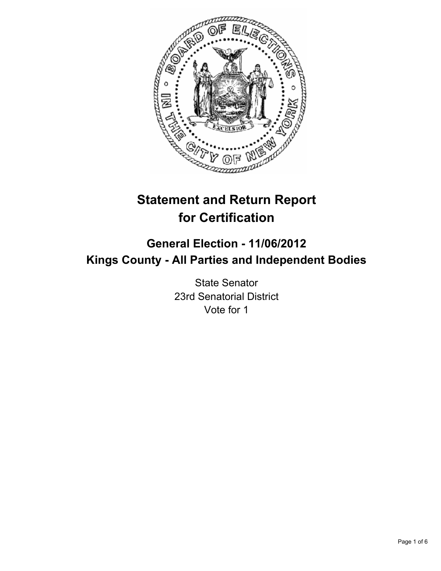

# **Statement and Return Report for Certification**

## **General Election - 11/06/2012 Kings County - All Parties and Independent Bodies**

State Senator 23rd Senatorial District Vote for 1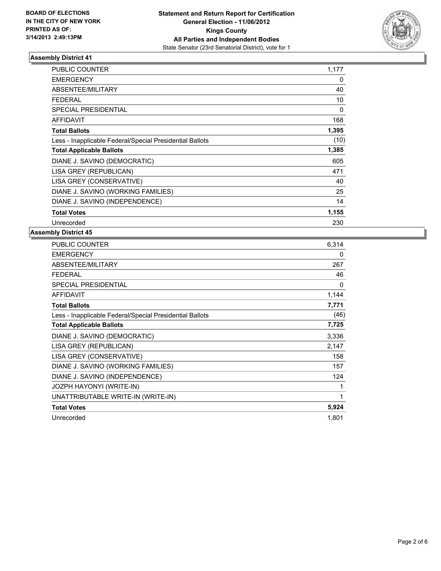

| <b>PUBLIC COUNTER</b>                                    | 1,177 |
|----------------------------------------------------------|-------|
| <b>EMERGENCY</b>                                         | 0     |
| ABSENTEE/MILITARY                                        | 40    |
| <b>FEDERAL</b>                                           | 10    |
| SPECIAL PRESIDENTIAL                                     | 0     |
| <b>AFFIDAVIT</b>                                         | 168   |
| <b>Total Ballots</b>                                     | 1,395 |
| Less - Inapplicable Federal/Special Presidential Ballots | (10)  |
| <b>Total Applicable Ballots</b>                          | 1,385 |
| DIANE J. SAVINO (DEMOCRATIC)                             | 605   |
| LISA GREY (REPUBLICAN)                                   | 471   |
| LISA GREY (CONSERVATIVE)                                 | 40    |
| DIANE J. SAVINO (WORKING FAMILIES)                       | 25    |
| DIANE J. SAVINO (INDEPENDENCE)                           | 14    |
| <b>Total Votes</b>                                       | 1,155 |
| Unrecorded                                               |       |

| PUBLIC COUNTER                                           | 6,314 |
|----------------------------------------------------------|-------|
| <b>EMERGENCY</b>                                         | 0     |
| ABSENTEE/MILITARY                                        | 267   |
| FEDERAL                                                  | 46    |
| <b>SPECIAL PRESIDENTIAL</b>                              | 0     |
| <b>AFFIDAVIT</b>                                         | 1,144 |
| <b>Total Ballots</b>                                     | 7,771 |
| Less - Inapplicable Federal/Special Presidential Ballots | (46)  |
| <b>Total Applicable Ballots</b>                          | 7,725 |
| DIANE J. SAVINO (DEMOCRATIC)                             | 3,336 |
| LISA GREY (REPUBLICAN)                                   | 2,147 |
| LISA GREY (CONSERVATIVE)                                 | 158   |
| DIANE J. SAVINO (WORKING FAMILIES)                       | 157   |
| DIANE J. SAVINO (INDEPENDENCE)                           | 124   |
| JOZPH HAYONYI (WRITE-IN)                                 | 1     |
| UNATTRIBUTABLE WRITE-IN (WRITE-IN)                       | 1     |
| <b>Total Votes</b>                                       | 5,924 |
| Unrecorded                                               | 1,801 |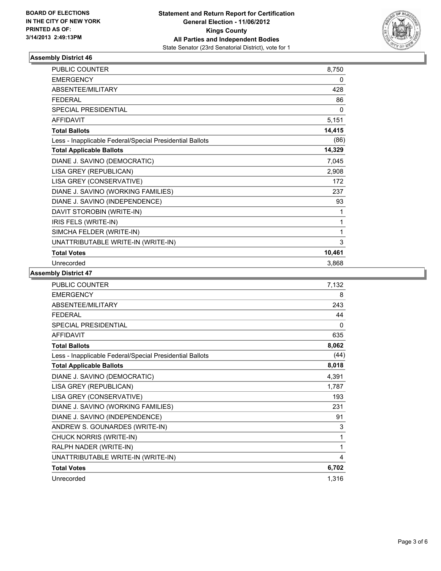

| <b>PUBLIC COUNTER</b>                                    | 8,750  |
|----------------------------------------------------------|--------|
| <b>EMERGENCY</b>                                         | 0      |
| ABSENTEE/MILITARY                                        | 428    |
| <b>FEDERAL</b>                                           | 86     |
| <b>SPECIAL PRESIDENTIAL</b>                              | 0      |
| <b>AFFIDAVIT</b>                                         | 5,151  |
| <b>Total Ballots</b>                                     | 14,415 |
| Less - Inapplicable Federal/Special Presidential Ballots | (86)   |
| <b>Total Applicable Ballots</b>                          | 14,329 |
| DIANE J. SAVINO (DEMOCRATIC)                             | 7,045  |
| LISA GREY (REPUBLICAN)                                   | 2,908  |
| LISA GREY (CONSERVATIVE)                                 | 172    |
| DIANE J. SAVINO (WORKING FAMILIES)                       | 237    |
| DIANE J. SAVINO (INDEPENDENCE)                           | 93     |
| DAVIT STOROBIN (WRITE-IN)                                | 1      |
| IRIS FELS (WRITE-IN)                                     | 1      |
| SIMCHA FELDER (WRITE-IN)                                 | 1      |
| UNATTRIBUTABLE WRITE-IN (WRITE-IN)                       | 3      |
| <b>Total Votes</b>                                       | 10,461 |
| Unrecorded                                               | 3,868  |

| <b>PUBLIC COUNTER</b>                                    | 7,132 |
|----------------------------------------------------------|-------|
| <b>EMERGENCY</b>                                         | 8     |
| ABSENTEE/MILITARY                                        | 243   |
| <b>FFDFRAI</b>                                           | 44    |
| SPECIAL PRESIDENTIAL                                     | 0     |
| <b>AFFIDAVIT</b>                                         | 635   |
| <b>Total Ballots</b>                                     | 8,062 |
| Less - Inapplicable Federal/Special Presidential Ballots | (44)  |
| <b>Total Applicable Ballots</b>                          | 8,018 |
| DIANE J. SAVINO (DEMOCRATIC)                             | 4,391 |
| LISA GREY (REPUBLICAN)                                   | 1,787 |
| LISA GREY (CONSERVATIVE)                                 | 193   |
| DIANE J. SAVINO (WORKING FAMILIES)                       | 231   |
| DIANE J. SAVINO (INDEPENDENCE)                           | 91    |
| ANDREW S. GOUNARDES (WRITE-IN)                           | 3     |
| CHUCK NORRIS (WRITE-IN)                                  | 1     |
| RALPH NADER (WRITE-IN)                                   | 1     |
| UNATTRIBUTABLE WRITE-IN (WRITE-IN)                       | 4     |
| <b>Total Votes</b>                                       | 6,702 |
| Unrecorded                                               | 1,316 |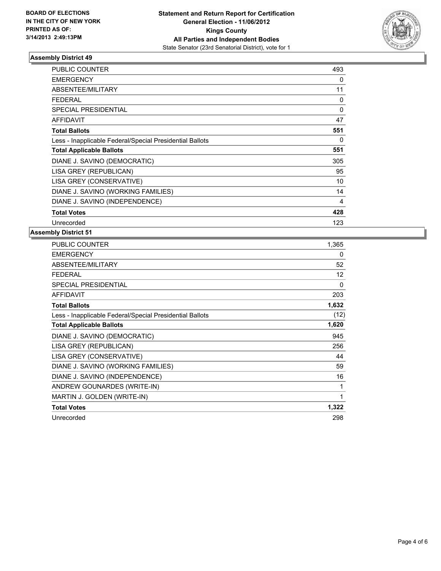

| <b>PUBLIC COUNTER</b>                                    | 493      |
|----------------------------------------------------------|----------|
| <b>EMERGENCY</b>                                         | 0        |
| ABSENTEE/MILITARY                                        | 11       |
| <b>FEDERAL</b>                                           | $\Omega$ |
| <b>SPECIAL PRESIDENTIAL</b>                              | 0        |
| <b>AFFIDAVIT</b>                                         | 47       |
| <b>Total Ballots</b>                                     | 551      |
| Less - Inapplicable Federal/Special Presidential Ballots | 0        |
| <b>Total Applicable Ballots</b>                          | 551      |
| DIANE J. SAVINO (DEMOCRATIC)                             | 305      |
| LISA GREY (REPUBLICAN)                                   | 95       |
| LISA GREY (CONSERVATIVE)                                 | 10       |
| DIANE J. SAVINO (WORKING FAMILIES)                       | 14       |
| DIANE J. SAVINO (INDEPENDENCE)                           | 4        |
| <b>Total Votes</b>                                       | 428      |
| Unrecorded                                               | 123      |

| PUBLIC COUNTER                                           | 1,365    |
|----------------------------------------------------------|----------|
| <b>EMERGENCY</b>                                         | 0        |
| <b>ABSENTEE/MILITARY</b>                                 | 52       |
| <b>FEDERAL</b>                                           | 12       |
| <b>SPECIAL PRESIDENTIAL</b>                              | $\Omega$ |
| <b>AFFIDAVIT</b>                                         | 203      |
| <b>Total Ballots</b>                                     | 1,632    |
| Less - Inapplicable Federal/Special Presidential Ballots | (12)     |
| <b>Total Applicable Ballots</b>                          | 1,620    |
| DIANE J. SAVINO (DEMOCRATIC)                             | 945      |
| LISA GREY (REPUBLICAN)                                   | 256      |
| LISA GREY (CONSERVATIVE)                                 | 44       |
| DIANE J. SAVINO (WORKING FAMILIES)                       | 59       |
| DIANE J. SAVINO (INDEPENDENCE)                           | 16       |
| ANDREW GOUNARDES (WRITE-IN)                              | 1        |
| MARTIN J. GOLDEN (WRITE-IN)                              | 1        |
| <b>Total Votes</b>                                       | 1,322    |
| Unrecorded                                               | 298      |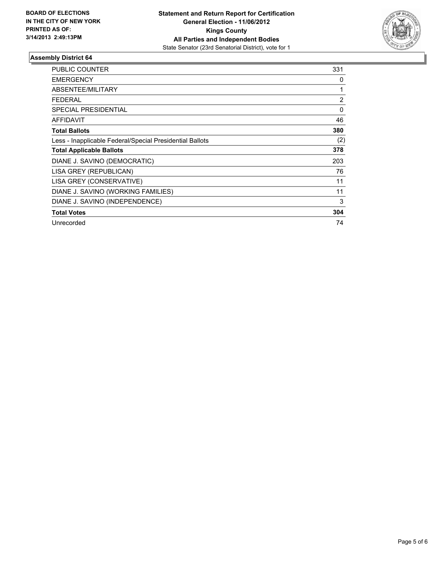

| <b>PUBLIC COUNTER</b>                                    | 331            |
|----------------------------------------------------------|----------------|
| <b>EMERGENCY</b>                                         | 0              |
| <b>ABSENTEE/MILITARY</b>                                 | 1              |
| <b>FEDERAL</b>                                           | $\overline{2}$ |
| SPECIAL PRESIDENTIAL                                     | 0              |
| AFFIDAVIT                                                | 46             |
| <b>Total Ballots</b>                                     | 380            |
| Less - Inapplicable Federal/Special Presidential Ballots | (2)            |
| <b>Total Applicable Ballots</b>                          | 378            |
| DIANE J. SAVINO (DEMOCRATIC)                             | 203            |
| LISA GREY (REPUBLICAN)                                   | 76             |
| LISA GREY (CONSERVATIVE)                                 | 11             |
| DIANE J. SAVINO (WORKING FAMILIES)                       | 11             |
| DIANE J. SAVINO (INDEPENDENCE)                           | 3              |
| <b>Total Votes</b>                                       | 304            |
| Unrecorded                                               | 74             |